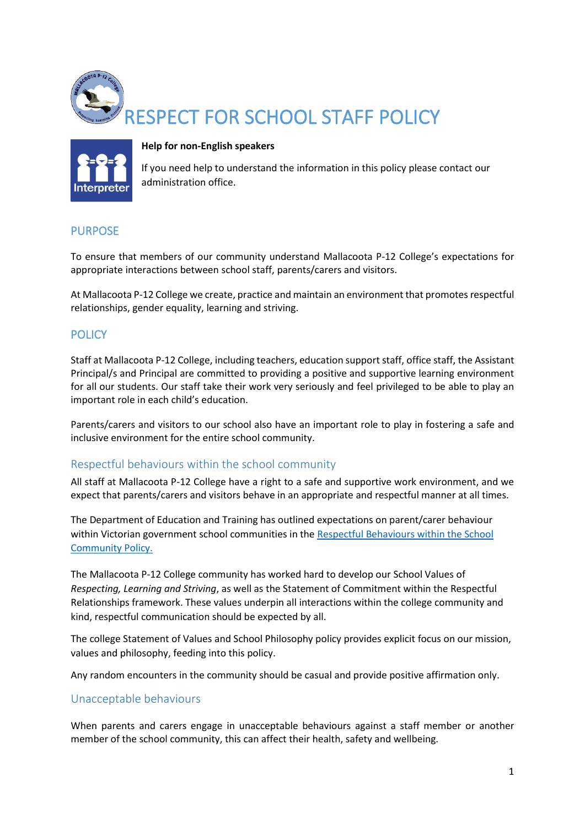



#### **Help for non-English speakers**

If you need help to understand the information in this policy please contact our administration office.

### PURPOSE

To ensure that members of our community understand Mallacoota P-12 College's expectations for appropriate interactions between school staff, parents/carers and visitors.

At Mallacoota P-12 College we create, practice and maintain an environment that promotes respectful relationships, gender equality, learning and striving.

### **POLICY**

Staff at Mallacoota P-12 College, including teachers, education support staff, office staff, the Assistant Principal/s and Principal are committed to providing a positive and supportive learning environment for all our students. Our staff take their work very seriously and feel privileged to be able to play an important role in each child's education.

Parents/carers and visitors to our school also have an important role to play in fostering a safe and inclusive environment for the entire school community.

### Respectful behaviours within the school community

All staff at Mallacoota P-12 College have a right to a safe and supportive work environment, and we expect that parents/carers and visitors behave in an appropriate and respectful manner at all times.

The Department of Education and Training has outlined expectations on parent/carer behaviour within Victorian government school communities in the [Respectful Behaviours within the School](https://www.education.vic.gov.au/Pages/Respectful-Behaviours-within-the-School-Community-Policy.aspx)  [Community Policy.](https://www.education.vic.gov.au/Pages/Respectful-Behaviours-within-the-School-Community-Policy.aspx)

The Mallacoota P-12 College community has worked hard to develop our School Values of *Respecting, Learning and Striving*, as well as the Statement of Commitment within the Respectful Relationships framework. These values underpin all interactions within the college community and kind, respectful communication should be expected by all.

The college Statement of Values and School Philosophy policy provides explicit focus on our mission, values and philosophy, feeding into this policy.

Any random encounters in the community should be casual and provide positive affirmation only.

### Unacceptable behaviours

When parents and carers engage in unacceptable behaviours against a staff member or another member of the school community, this can affect their health, safety and wellbeing.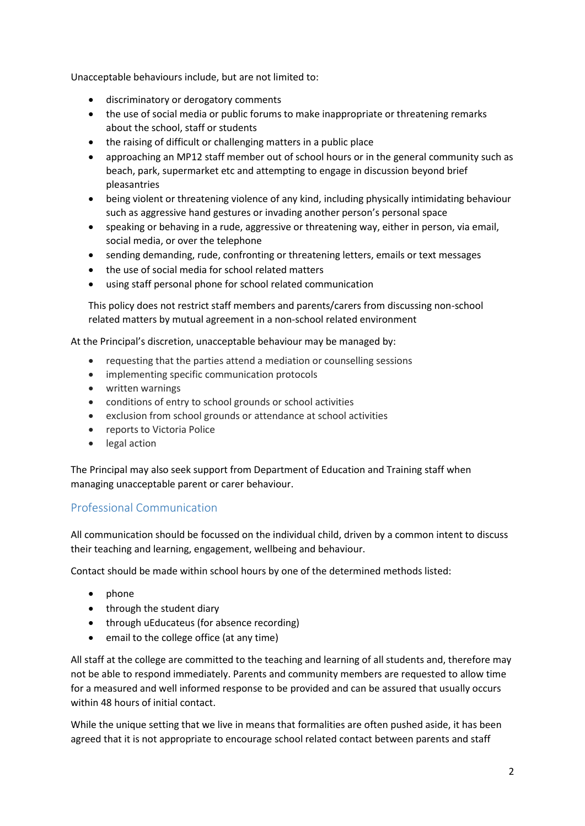Unacceptable behaviours include, but are not limited to:

- discriminatory or derogatory comments
- the use of social media or public forums to make inappropriate or threatening remarks about the school, staff or students
- the raising of difficult or challenging matters in a public place
- approaching an MP12 staff member out of school hours or in the general community such as beach, park, supermarket etc and attempting to engage in discussion beyond brief pleasantries
- being violent or threatening violence of any kind, including physically intimidating behaviour such as aggressive hand gestures or invading another person's personal space
- speaking or behaving in a rude, aggressive or threatening way, either in person, via email, social media, or over the telephone
- sending demanding, rude, confronting or threatening letters, emails or text messages
- the use of social media for school related matters
- using staff personal phone for school related communication

This policy does not restrict staff members and parents/carers from discussing non-school related matters by mutual agreement in a non-school related environment

At the Principal's discretion, unacceptable behaviour may be managed by:

- requesting that the parties attend a mediation or counselling sessions
- implementing specific communication protocols
- written warnings
- conditions of entry to school grounds or school activities
- exclusion from school grounds or attendance at school activities
- reports to Victoria Police
- legal action

The Principal may also seek support from Department of Education and Training staff when managing unacceptable parent or carer behaviour.

### Professional Communication

All communication should be focussed on the individual child, driven by a common intent to discuss their teaching and learning, engagement, wellbeing and behaviour.

Contact should be made within school hours by one of the determined methods listed:

- phone
- through the student diary
- through uEducateus (for absence recording)
- email to the college office (at any time)

All staff at the college are committed to the teaching and learning of all students and, therefore may not be able to respond immediately. Parents and community members are requested to allow time for a measured and well informed response to be provided and can be assured that usually occurs within 48 hours of initial contact.

While the unique setting that we live in means that formalities are often pushed aside, it has been agreed that it is not appropriate to encourage school related contact between parents and staff